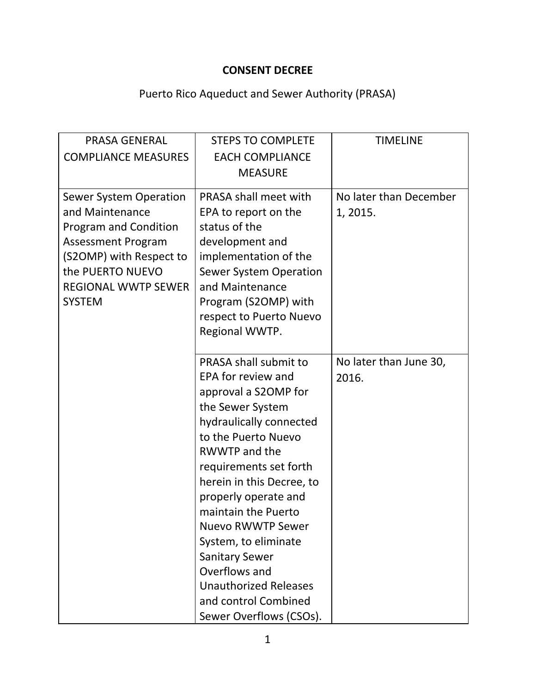## **CONSENT DECREE**

## Puerto Rico Aqueduct and Sewer Authority (PRASA)

| <b>PRASA GENERAL</b>          | <b>STEPS TO COMPLETE</b>                                                        | <b>TIMELINE</b>        |
|-------------------------------|---------------------------------------------------------------------------------|------------------------|
| <b>COMPLIANCE MEASURES</b>    | <b>EACH COMPLIANCE</b>                                                          |                        |
|                               | <b>MEASURE</b>                                                                  |                        |
|                               |                                                                                 |                        |
| <b>Sewer System Operation</b> | PRASA shall meet with                                                           | No later than December |
| and Maintenance               | EPA to report on the                                                            | 1, 2015.               |
| Program and Condition         | status of the                                                                   |                        |
| <b>Assessment Program</b>     | development and                                                                 |                        |
| (S2OMP) with Respect to       | implementation of the                                                           |                        |
| the PUERTO NUEVO              | <b>Sewer System Operation</b>                                                   |                        |
| <b>REGIONAL WWTP SEWER</b>    | and Maintenance                                                                 |                        |
| <b>SYSTEM</b>                 | Program (S2OMP) with                                                            |                        |
|                               | respect to Puerto Nuevo                                                         |                        |
|                               | Regional WWTP.                                                                  |                        |
|                               |                                                                                 |                        |
|                               | PRASA shall submit to                                                           | No later than June 30, |
|                               | EPA for review and                                                              | 2016.                  |
|                               | approval a S2OMP for                                                            |                        |
|                               | the Sewer System                                                                |                        |
|                               | hydraulically connected                                                         |                        |
|                               | to the Puerto Nuevo<br><b>RWWTP and the</b>                                     |                        |
|                               |                                                                                 |                        |
|                               | requirements set forth                                                          |                        |
|                               | herein in this Decree, to                                                       |                        |
|                               | properly operate and                                                            |                        |
|                               | maintain the Puerto<br><b>Nuevo RWWTP Sewer</b>                                 |                        |
|                               |                                                                                 |                        |
|                               | System, to eliminate<br><b>Sanitary Sewer</b>                                   |                        |
|                               | Overflows and                                                                   |                        |
|                               |                                                                                 |                        |
|                               |                                                                                 |                        |
|                               |                                                                                 |                        |
|                               | <b>Unauthorized Releases</b><br>and control Combined<br>Sewer Overflows (CSOs). |                        |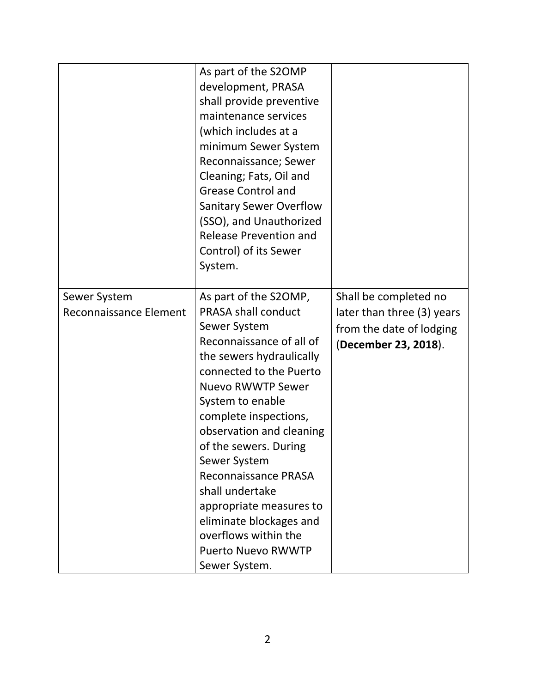|                                        | As part of the S2OMP<br>development, PRASA<br>shall provide preventive<br>maintenance services<br>(which includes at a<br>minimum Sewer System<br>Reconnaissance; Sewer<br>Cleaning; Fats, Oil and<br><b>Grease Control and</b><br><b>Sanitary Sewer Overflow</b><br>(SSO), and Unauthorized<br><b>Release Prevention and</b><br>Control) of its Sewer<br>System.                                                                                                           |                                                                                                         |
|----------------------------------------|-----------------------------------------------------------------------------------------------------------------------------------------------------------------------------------------------------------------------------------------------------------------------------------------------------------------------------------------------------------------------------------------------------------------------------------------------------------------------------|---------------------------------------------------------------------------------------------------------|
| Sewer System<br>Reconnaissance Element | As part of the S2OMP,<br><b>PRASA shall conduct</b><br>Sewer System<br>Reconnaissance of all of<br>the sewers hydraulically<br>connected to the Puerto<br><b>Nuevo RWWTP Sewer</b><br>System to enable<br>complete inspections,<br>observation and cleaning<br>of the sewers. During<br>Sewer System<br>Reconnaissance PRASA<br>shall undertake<br>appropriate measures to<br>eliminate blockages and<br>overflows within the<br><b>Puerto Nuevo RWWTP</b><br>Sewer System. | Shall be completed no<br>later than three (3) years<br>from the date of lodging<br>(December 23, 2018). |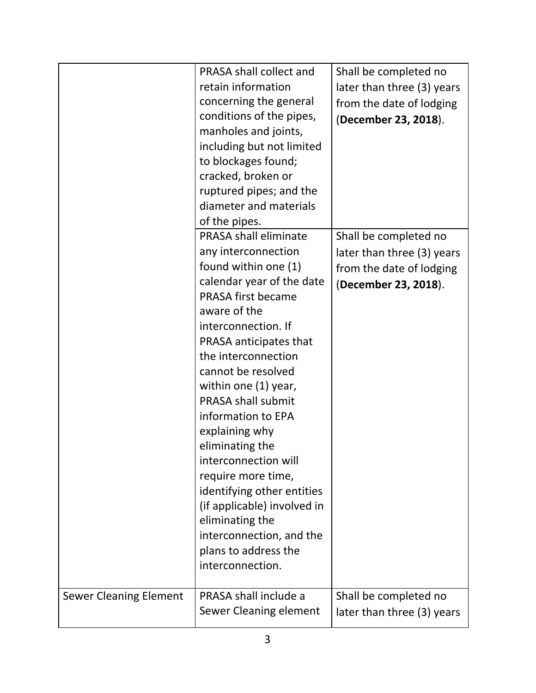|                               | PRASA shall collect and<br>retain information<br>concerning the general<br>conditions of the pipes,<br>manholes and joints,<br>including but not limited<br>to blockages found;<br>cracked, broken or<br>ruptured pipes; and the<br>diameter and materials<br>of the pipes.                                                                                                                                                                                                                                                                                        | Shall be completed no<br>later than three (3) years<br>from the date of lodging<br>(December 23, 2018). |
|-------------------------------|--------------------------------------------------------------------------------------------------------------------------------------------------------------------------------------------------------------------------------------------------------------------------------------------------------------------------------------------------------------------------------------------------------------------------------------------------------------------------------------------------------------------------------------------------------------------|---------------------------------------------------------------------------------------------------------|
|                               | PRASA shall eliminate<br>any interconnection<br>found within one (1)<br>calendar year of the date<br><b>PRASA first became</b><br>aware of the<br>interconnection. If<br>PRASA anticipates that<br>the interconnection<br>cannot be resolved<br>within one (1) year,<br><b>PRASA shall submit</b><br>information to EPA<br>explaining why<br>eliminating the<br>interconnection will<br>require more time,<br>identifying other entities<br>(if applicable) involved in<br>eliminating the<br>interconnection, and the<br>plans to address the<br>interconnection. | Shall be completed no<br>later than three (3) years<br>from the date of lodging<br>(December 23, 2018). |
| <b>Sewer Cleaning Element</b> | PRASA shall include a<br>Sewer Cleaning element                                                                                                                                                                                                                                                                                                                                                                                                                                                                                                                    | Shall be completed no<br>later than three (3) years                                                     |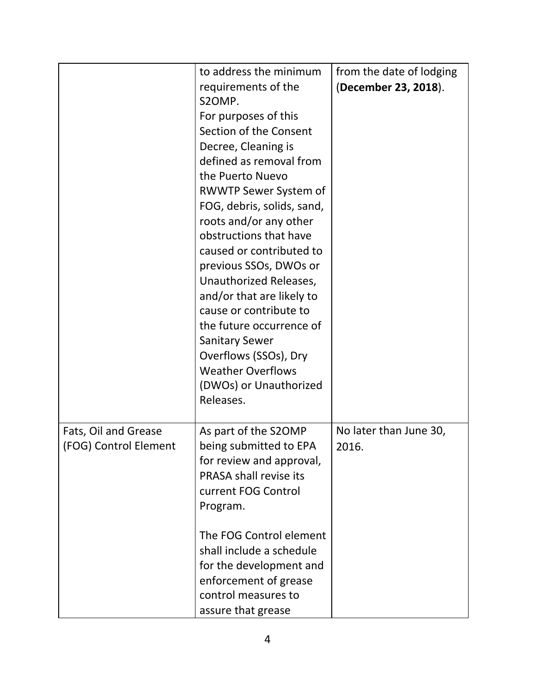|                                               | to address the minimum<br>requirements of the<br>S2OMP.<br>For purposes of this<br>Section of the Consent<br>Decree, Cleaning is<br>defined as removal from<br>the Puerto Nuevo<br><b>RWWTP Sewer System of</b><br>FOG, debris, solids, sand,<br>roots and/or any other<br>obstructions that have<br>caused or contributed to<br>previous SSOs, DWOs or<br>Unauthorized Releases,<br>and/or that are likely to | from the date of lodging<br>(December 23, 2018). |
|-----------------------------------------------|----------------------------------------------------------------------------------------------------------------------------------------------------------------------------------------------------------------------------------------------------------------------------------------------------------------------------------------------------------------------------------------------------------------|--------------------------------------------------|
|                                               | cause or contribute to<br>the future occurrence of<br><b>Sanitary Sewer</b><br>Overflows (SSOs), Dry<br><b>Weather Overflows</b><br>(DWOs) or Unauthorized<br>Releases.                                                                                                                                                                                                                                        |                                                  |
| Fats, Oil and Grease<br>(FOG) Control Element | As part of the S2OMP<br>being submitted to EPA<br>for review and approval,<br>PRASA shall revise its<br>current FOG Control<br>Program.                                                                                                                                                                                                                                                                        | No later than June 30,<br>2016.                  |
|                                               | The FOG Control element<br>shall include a schedule<br>for the development and<br>enforcement of grease<br>control measures to<br>assure that grease                                                                                                                                                                                                                                                           |                                                  |